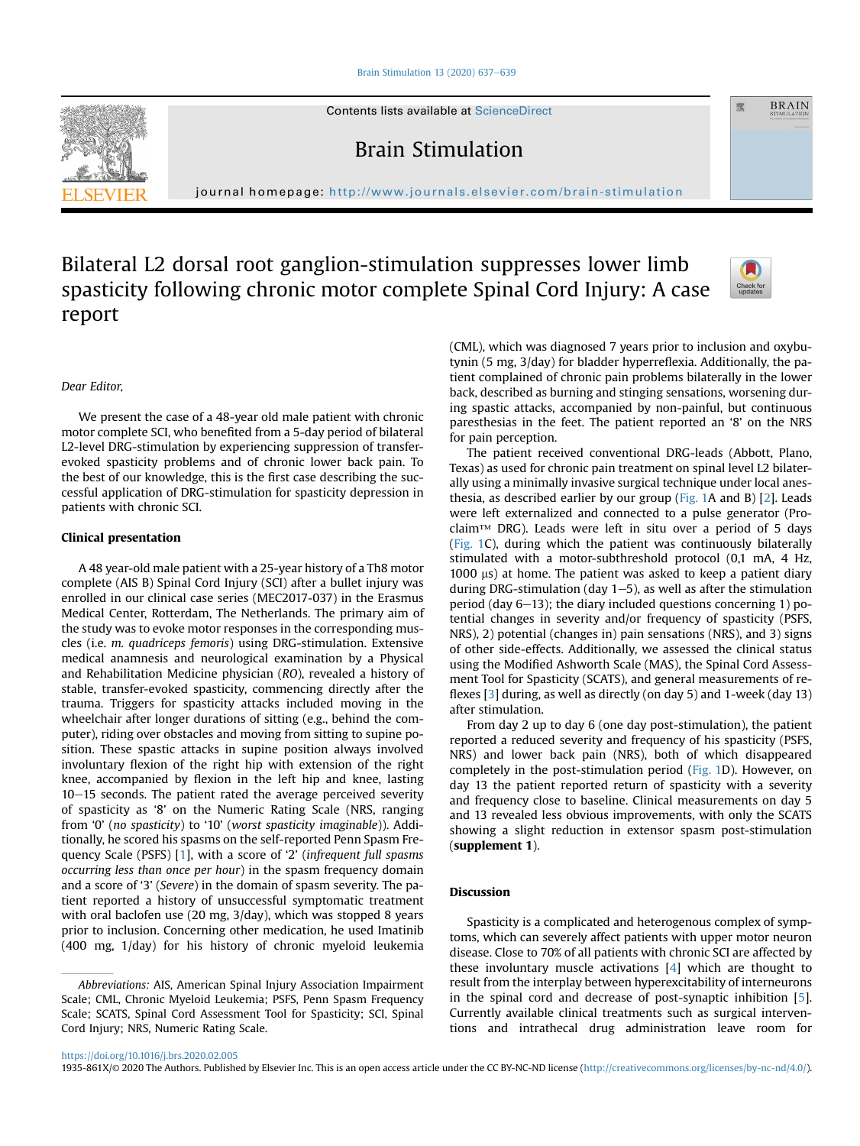#### [Brain Stimulation 13 \(2020\) 637](https://doi.org/10.1016/j.brs.2020.02.005)-[639](https://doi.org/10.1016/j.brs.2020.02.005)

Contents lists available at ScienceDirect

Brain Stimulation

journal homepage: <http://www.journals.elsevier.com/brain-stimulation>

# Bilateral L2 dorsal root ganglion-stimulation suppresses lower limb spasticity following chronic motor complete Spinal Cord Injury: A case report



靈

**BRAIN** 

## Dear Editor,

We present the case of a 48-year old male patient with chronic motor complete SCI, who benefited from a 5-day period of bilateral L2-level DRG-stimulation by experiencing suppression of transferevoked spasticity problems and of chronic lower back pain. To the best of our knowledge, this is the first case describing the successful application of DRG-stimulation for spasticity depression in patients with chronic SCI.

## Clinical presentation

A 48 year-old male patient with a 25-year history of a Th8 motor complete (AIS B) Spinal Cord Injury (SCI) after a bullet injury was enrolled in our clinical case series (MEC2017-037) in the Erasmus Medical Center, Rotterdam, The Netherlands. The primary aim of the study was to evoke motor responses in the corresponding muscles (i.e. m. quadriceps femoris) using DRG-stimulation. Extensive medical anamnesis and neurological examination by a Physical and Rehabilitation Medicine physician (RO), revealed a history of stable, transfer-evoked spasticity, commencing directly after the trauma. Triggers for spasticity attacks included moving in the wheelchair after longer durations of sitting (e.g., behind the computer), riding over obstacles and moving from sitting to supine position. These spastic attacks in supine position always involved involuntary flexion of the right hip with extension of the right knee, accompanied by flexion in the left hip and knee, lasting  $10-15$  seconds. The patient rated the average perceived severity of spasticity as '8' on the Numeric Rating Scale (NRS, ranging from '0' (no spasticity) to '10' (worst spasticity imaginable)). Additionally, he scored his spasms on the self-reported Penn Spasm Frequency Scale (PSFS) [\[1](#page-2-0)], with a score of '2' (infrequent full spasms occurring less than once per hour) in the spasm frequency domain and a score of '3' (Severe) in the domain of spasm severity. The patient reported a history of unsuccessful symptomatic treatment with oral baclofen use (20 mg, 3/day), which was stopped 8 years prior to inclusion. Concerning other medication, he used Imatinib (400 mg, 1/day) for his history of chronic myeloid leukemia

(CML), which was diagnosed 7 years prior to inclusion and oxybutynin (5 mg, 3/day) for bladder hyperreflexia. Additionally, the patient complained of chronic pain problems bilaterally in the lower back, described as burning and stinging sensations, worsening during spastic attacks, accompanied by non-painful, but continuous paresthesias in the feet. The patient reported an '8' on the NRS for pain perception.

The patient received conventional DRG-leads (Abbott, Plano, Texas) as used for chronic pain treatment on spinal level L2 bilaterally using a minimally invasive surgical technique under local anesthesia, as described earlier by our group ([Fig. 1A](#page-1-0) and B) [\[2\]](#page-2-1). Leads were left externalized and connected to a pulse generator (Proclaim™ DRG). Leads were left in situ over a period of 5 days ([Fig. 1C](#page-1-0)), during which the patient was continuously bilaterally stimulated with a motor-subthreshold protocol (0,1 mA, 4 Hz,  $1000 \text{ }\mu\text{s}$ ) at home. The patient was asked to keep a patient diary during DRG-stimulation (day  $1-5$ ), as well as after the stimulation period (day  $6-13$ ); the diary included questions concerning 1) potential changes in severity and/or frequency of spasticity (PSFS, NRS), 2) potential (changes in) pain sensations (NRS), and 3) signs of other side-effects. Additionally, we assessed the clinical status using the Modified Ashworth Scale (MAS), the Spinal Cord Assessment Tool for Spasticity (SCATS), and general measurements of reflexes [\[3\]](#page-2-2) during, as well as directly (on day 5) and 1-week (day 13) after stimulation.

From day 2 up to day 6 (one day post-stimulation), the patient reported a reduced severity and frequency of his spasticity (PSFS, NRS) and lower back pain (NRS), both of which disappeared completely in the post-stimulation period ([Fig. 1](#page-1-0)D). However, on day 13 the patient reported return of spasticity with a severity and frequency close to baseline. Clinical measurements on day 5 and 13 revealed less obvious improvements, with only the SCATS showing a slight reduction in extensor spasm post-stimulation (supplement 1).

## Discussion

Spasticity is a complicated and heterogenous complex of symptoms, which can severely affect patients with upper motor neuron disease. Close to 70% of all patients with chronic SCI are affected by these involuntary muscle activations [[4\]](#page-2-3) which are thought to result from the interplay between hyperexcitability of interneurons in the spinal cord and decrease of post-synaptic inhibition [[5\]](#page-2-4). Currently available clinical treatments such as surgical interventions and intrathecal drug administration leave room for



Abbreviations: AIS, American Spinal Injury Association Impairment Scale; CML, Chronic Myeloid Leukemia; PSFS, Penn Spasm Frequency Scale; SCATS, Spinal Cord Assessment Tool for Spasticity; SCI, Spinal Cord Injury; NRS, Numeric Rating Scale.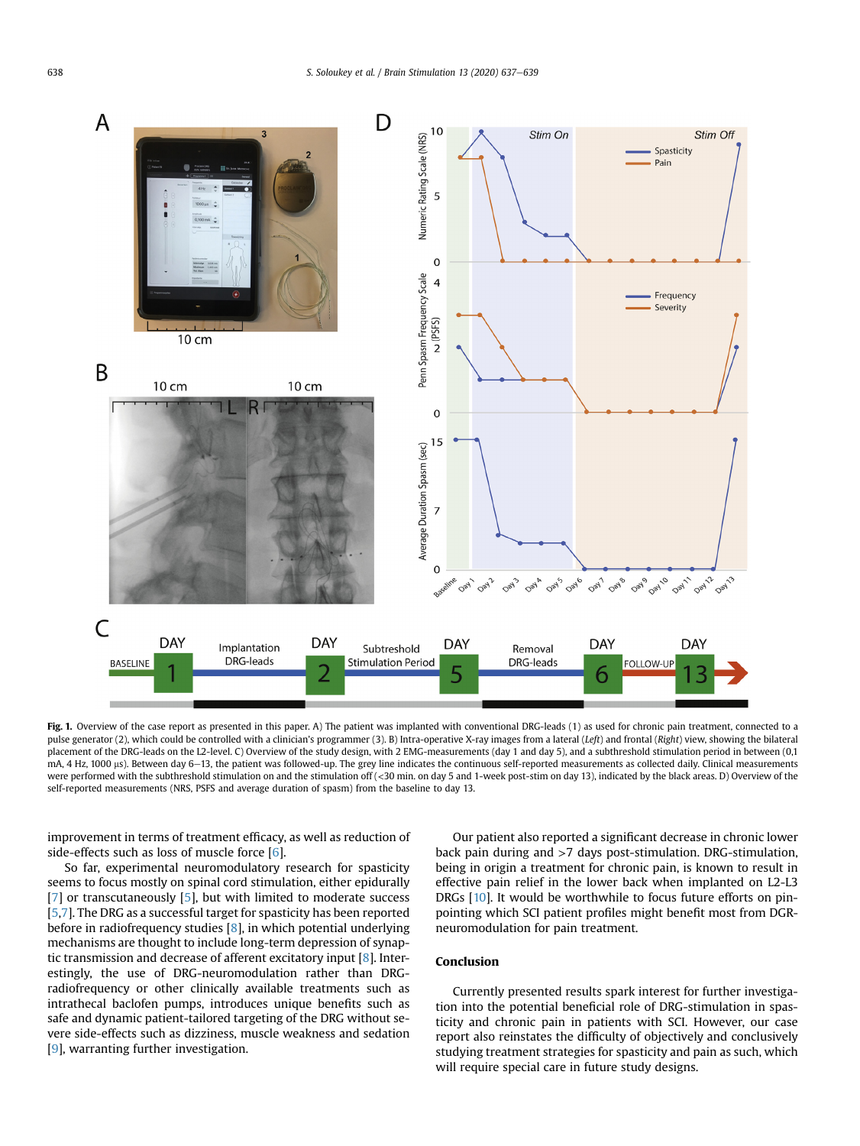<span id="page-1-0"></span>

Fig. 1. Overview of the case report as presented in this paper. A) The patient was implanted with conventional DRG-leads (1) as used for chronic pain treatment, connected to a pulse generator (2), which could be controlled with a clinician's programmer (3). B) Intra-operative X-ray images from a lateral (Left) and frontal (Right) view, showing the bilateral placement of the DRG-leads on the L2-level. C) Overview of the study design, with 2 EMG-measurements (day 1 and day 5), and a subthreshold stimulation period in between (0,1 mA, 4 Hz, 1000 µs). Between day 6-13, the patient was followed-up. The grey line indicates the continuous self-reported measurements as collected daily. Clinical measurements were performed with the subthreshold stimulation on and the stimulation off (<30 min. on day 5 and 1-week post-stim on day 13), indicated by the black areas. D) Overview of the self-reported measurements (NRS, PSFS and average duration of spasm) from the baseline to day 13.

improvement in terms of treatment efficacy, as well as reduction of side-effects such as loss of muscle force [[6](#page-2-5)].

So far, experimental neuromodulatory research for spasticity seems to focus mostly on spinal cord stimulation, either epidurally [[7](#page-2-6)] or transcutaneously [[5](#page-2-4)], but with limited to moderate success [[5](#page-2-4)[,7](#page-2-6)]. The DRG as a successful target for spasticity has been reported before in radiofrequency studies [[8\]](#page-2-7), in which potential underlying mechanisms are thought to include long-term depression of synaptic transmission and decrease of afferent excitatory input [\[8\]](#page-2-7). Interestingly, the use of DRG-neuromodulation rather than DRGradiofrequency or other clinically available treatments such as intrathecal baclofen pumps, introduces unique benefits such as safe and dynamic patient-tailored targeting of the DRG without severe side-effects such as dizziness, muscle weakness and sedation [[9](#page-2-8)], warranting further investigation.

Our patient also reported a significant decrease in chronic lower back pain during and >7 days post-stimulation. DRG-stimulation, being in origin a treatment for chronic pain, is known to result in effective pain relief in the lower back when implanted on L2-L3 DRGs [[10\]](#page-2-9). It would be worthwhile to focus future efforts on pinpointing which SCI patient profiles might benefit most from DGRneuromodulation for pain treatment.

## Conclusion

Currently presented results spark interest for further investigation into the potential beneficial role of DRG-stimulation in spasticity and chronic pain in patients with SCI. However, our case report also reinstates the difficulty of objectively and conclusively studying treatment strategies for spasticity and pain as such, which will require special care in future study designs.